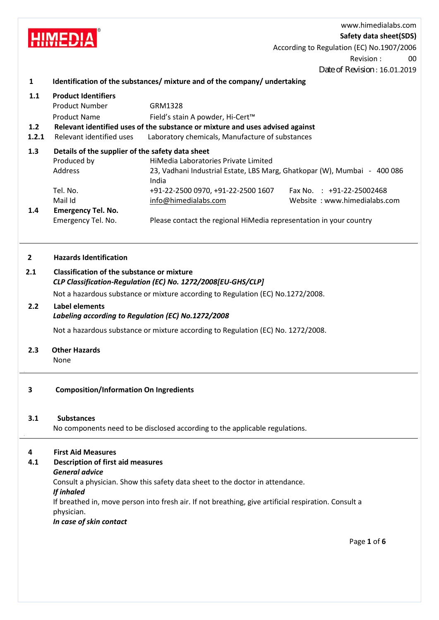www.himedialabs.com **HIMEDIA Safety data sheet(SDS)** According to Regulation (EC) No.1907/2006 Revision : 00 Date of Revision : 16.01.2019 **1 Identification of the substances/ mixture and of the company/ undertaking 1.1 Product Identifiers** Product Number **GRM1328** Product Name Field's stain A powder, Hi-Cert™  **1.2 Relevant identified uses of the substance or mixture and uses advised against 1.2.1** Relevant identified uses Laboratory chemicals, Manufacture of substances  **1.3 Details of the supplier of the safety data sheet** Produced by HiMedia Laboratories Private Limited Address 23, Vadhani Industrial Estate, LBS Marg, Ghatkopar (W), Mumbai - 400 086 India Tel. No. +91-22-2500 0970, +91-22-2500 1607 Fax No.: +91-22-25002468 Mail Id info@himedialabs.com Website: www.himedialabs.com  **1.4 Emergency Tel. No.** Emergency Tel. No. Please contact the regional HiMedia representation in your country

## **2 Hazards Identification**

## **2.1 Classification of the substance or mixture** *CLP Classification-Regulation (EC) No. 1272/2008[EU-GHS/CLP]*

Not a hazardous substance or mixture according to Regulation (EC) No.1272/2008.

#### **2.2 Label elements**

## *Labeling according to Regulation (EC) No.1272/2008*

Not a hazardous substance or mixture according to Regulation (EC) No. 1272/2008.

## **2.3 Other Hazards**

None

## **3 Composition/Information On Ingredients**

## **3.1 Substances**

No components need to be disclosed according to the applicable regulations.

## **4 First Aid Measures**

## **4.1 Description of first aid measures**

## *General advice*

Consult a physician. Show this safety data sheet to the doctor in attendance.

## *If inhaled*

If breathed in, move person into fresh air. If not breathing, give artificial respiration. Consult a physician.

## *In case of skin contact*

Page **1** of **6**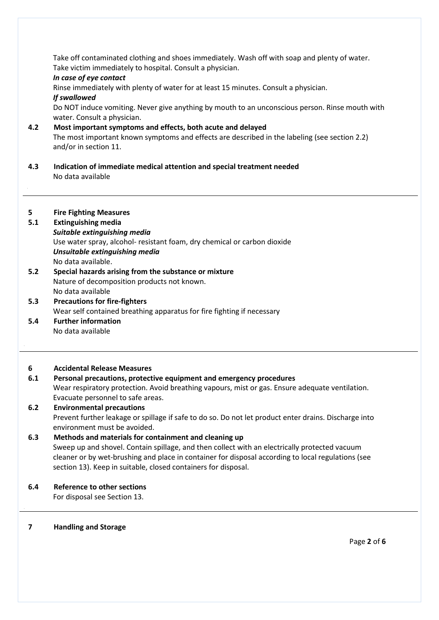Take off contaminated clothing and shoes immediately. Wash off with soap and plenty of water. Take victim immediately to hospital. Consult a physician.

#### *In case of eye contact*

Rinse immediately with plenty of water for at least 15 minutes. Consult a physician.

## *If swallowed*

Do NOT induce vomiting. Never give anything by mouth to an unconscious person. Rinse mouth with water. Consult a physician.

## **4.2 Most important symptoms and effects, both acute and delayed** The most important known symptoms and effects are described in the labeling (see section 2.2) and/or in section 11.

 **4.3 Indication of immediate medical attention and special treatment needed** No data available

## **5 Fire Fighting Measures**

## **5.1 Extinguishing media**

*Suitable extinguishing media* Use water spray, alcohol- resistant foam, dry chemical or carbon dioxide *Unsuitable extinguishing media* No data available.

- **5.2 Special hazards arising from the substance or mixture** Nature of decomposition products not known. No data available
- **5.3 Precautions for fire-fighters** Wear self contained breathing apparatus for fire fighting if necessary
- **5.4 Further information** No data available

## **6 Accidental Release Measures**

## **6.1 Personal precautions, protective equipment and emergency procedures** Wear respiratory protection. Avoid breathing vapours, mist or gas. Ensure adequate ventilation. Evacuate personnel to safe areas.  **6.2 Environmental precautions**

## Prevent further leakage or spillage if safe to do so. Do not let product enter drains. Discharge into environment must be avoided.

## **6.3 Methods and materials for containment and cleaning up** Sweep up and shovel. Contain spillage, and then collect with an electrically protected vacuum cleaner or by wet-brushing and place in container for disposal according to local regulations (see section 13). Keep in suitable, closed containers for disposal.

## **6.4 Reference to other sections**

For disposal see Section 13.

## **7 Handling and Storage**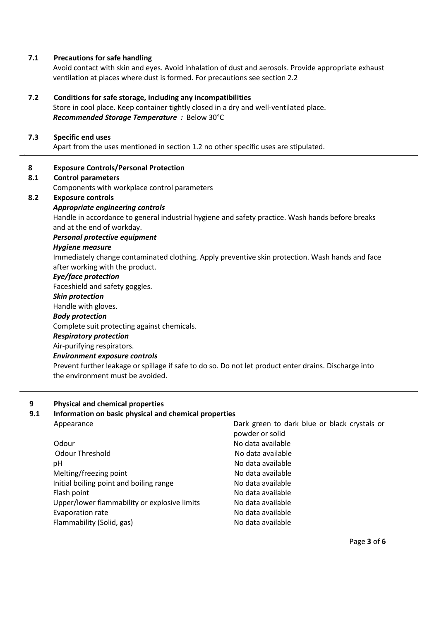| Immediately change contaminated clothing. Apply preventive skin protection. Wash hands and face |
|-------------------------------------------------------------------------------------------------|
|                                                                                                 |
|                                                                                                 |
|                                                                                                 |
|                                                                                                 |
|                                                                                                 |
|                                                                                                 |
|                                                                                                 |
|                                                                                                 |
|                                                                                                 |
|                                                                                                 |
|                                                                                                 |
|                                                                                                 |

# **9.1 Information on basic physical and chemical properties**

| Appearance                                   | Dark green to dark blue or black crystals or |  |  |  |
|----------------------------------------------|----------------------------------------------|--|--|--|
|                                              | powder or solid                              |  |  |  |
| Odour                                        | No data available                            |  |  |  |
| Odour Threshold                              | No data available                            |  |  |  |
| рH                                           | No data available                            |  |  |  |
| Melting/freezing point                       | No data available                            |  |  |  |
| Initial boiling point and boiling range      | No data available                            |  |  |  |
| Flash point                                  | No data available                            |  |  |  |
| Upper/lower flammability or explosive limits | No data available                            |  |  |  |
| Evaporation rate                             | No data available                            |  |  |  |
| Flammability (Solid, gas)                    | No data available                            |  |  |  |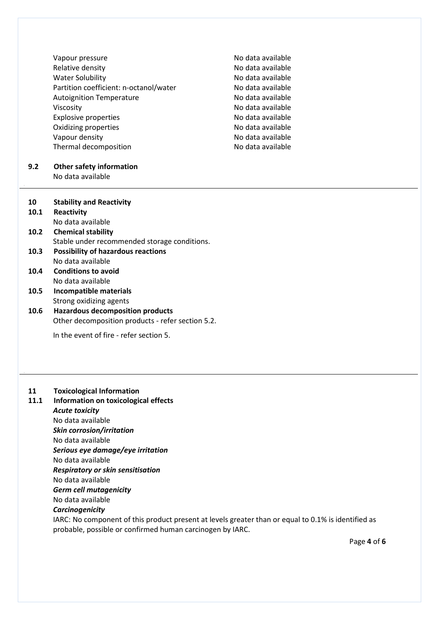Vapour pressure No data available Relative density **No observe and Allen Controllers** No data available Water Solubility No data available Partition coefficient: n-octanol/water No data available Autoignition Temperature No data available Viscosity **No data available** Explosive properties No data available Oxidizing properties No data available Vapour density Thermal decomposition

No data available No data available

#### **9.2 Other safety information** No data available

 **10 Stability and Reactivity**

 **10.1 Reactivity**

.

- No data available  **10.2 Chemical stability** Stable under recommended storage conditions.
- **10.3 Possibility of hazardous reactions** No data available
- **10.4 Conditions to avoid** No data available
- **10.5 Incompatible materials** Strong oxidizing agents
- **10.6 Hazardous decomposition products** Other decomposition products - refer section 5.2.

In the event of fire - refer section 5.

## **11 Toxicological Information**

 **11.1 Information on toxicological effects** *Acute toxicity* No data available *Skin corrosion/irritation*

No data available *Serious eye damage/eye irritation* No data available *Respiratory or skin sensitisation* No data available *Germ cell mutagenicity* No data available *Carcinogenicity* IARC: No component of this product present at levels greater than or equal to 0.1% is identified as probable, possible or confirmed human carcinogen by IARC.

Page **4** of **6**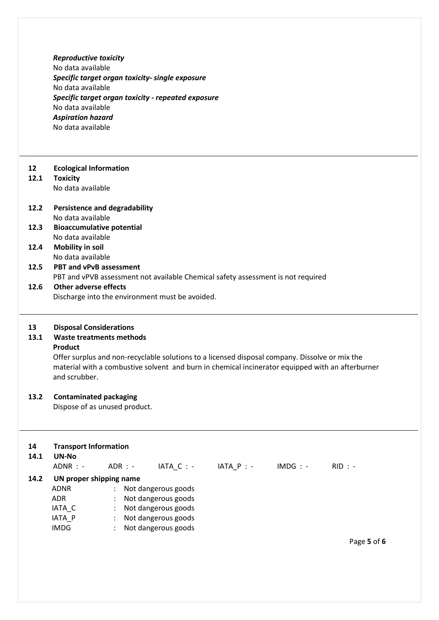|      | <b>Reproductive toxicity</b>                                                                     |  |  |  |  |  |  |
|------|--------------------------------------------------------------------------------------------------|--|--|--|--|--|--|
|      | No data available                                                                                |  |  |  |  |  |  |
|      | Specific target organ toxicity- single exposure                                                  |  |  |  |  |  |  |
|      | No data available                                                                                |  |  |  |  |  |  |
|      | Specific target organ toxicity - repeated exposure                                               |  |  |  |  |  |  |
|      | No data available                                                                                |  |  |  |  |  |  |
|      | <b>Aspiration hazard</b>                                                                         |  |  |  |  |  |  |
|      | No data available                                                                                |  |  |  |  |  |  |
|      |                                                                                                  |  |  |  |  |  |  |
|      |                                                                                                  |  |  |  |  |  |  |
| 12   | <b>Ecological Information</b>                                                                    |  |  |  |  |  |  |
| 12.1 | <b>Toxicity</b>                                                                                  |  |  |  |  |  |  |
|      | No data available                                                                                |  |  |  |  |  |  |
|      |                                                                                                  |  |  |  |  |  |  |
| 12.2 | <b>Persistence and degradability</b>                                                             |  |  |  |  |  |  |
|      | No data available                                                                                |  |  |  |  |  |  |
| 12.3 | <b>Bioaccumulative potential</b>                                                                 |  |  |  |  |  |  |
|      | No data available                                                                                |  |  |  |  |  |  |
| 12.4 | <b>Mobility in soil</b>                                                                          |  |  |  |  |  |  |
|      | No data available                                                                                |  |  |  |  |  |  |
| 12.5 | <b>PBT and vPvB assessment</b>                                                                   |  |  |  |  |  |  |
|      | PBT and vPVB assessment not available Chemical safety assessment is not required                 |  |  |  |  |  |  |
| 12.6 | <b>Other adverse effects</b>                                                                     |  |  |  |  |  |  |
|      | Discharge into the environment must be avoided.                                                  |  |  |  |  |  |  |
|      |                                                                                                  |  |  |  |  |  |  |
| 13   | <b>Disposal Considerations</b>                                                                   |  |  |  |  |  |  |
| 13.1 | <b>Waste treatments methods</b>                                                                  |  |  |  |  |  |  |
|      | <b>Product</b>                                                                                   |  |  |  |  |  |  |
|      | Offer surplus and non-recyclable solutions to a licensed disposal company. Dissolve or mix the   |  |  |  |  |  |  |
|      | material with a combustive solvent and burn in chemical incinerator equipped with an afterburner |  |  |  |  |  |  |
|      | and scrubber.                                                                                    |  |  |  |  |  |  |
|      |                                                                                                  |  |  |  |  |  |  |
| 13.2 | <b>Contaminated packaging</b>                                                                    |  |  |  |  |  |  |
|      | Dispose of as unused product.                                                                    |  |  |  |  |  |  |
|      |                                                                                                  |  |  |  |  |  |  |
|      |                                                                                                  |  |  |  |  |  |  |
| 14   | <b>Transport Information</b>                                                                     |  |  |  |  |  |  |
| 14.1 | UN-No                                                                                            |  |  |  |  |  |  |
|      | ADNR : -<br>$ADR$ : -<br>$IATA_C$ : -<br>$IATA_P$ : -<br>$IMDG: -$<br>$RID : -$                  |  |  |  |  |  |  |
| 14.2 | UN proper shipping name                                                                          |  |  |  |  |  |  |
|      | <b>ADNR</b><br>Not dangerous goods                                                               |  |  |  |  |  |  |
|      | Not dangerous goods<br><b>ADR</b>                                                                |  |  |  |  |  |  |
|      | Not dangerous goods                                                                              |  |  |  |  |  |  |
|      | IATA_C<br>: Not dangerous goods                                                                  |  |  |  |  |  |  |
|      | IATA_P<br><b>IMDG</b><br>Not dangerous goods                                                     |  |  |  |  |  |  |
|      |                                                                                                  |  |  |  |  |  |  |
|      | Page 5 of 6                                                                                      |  |  |  |  |  |  |